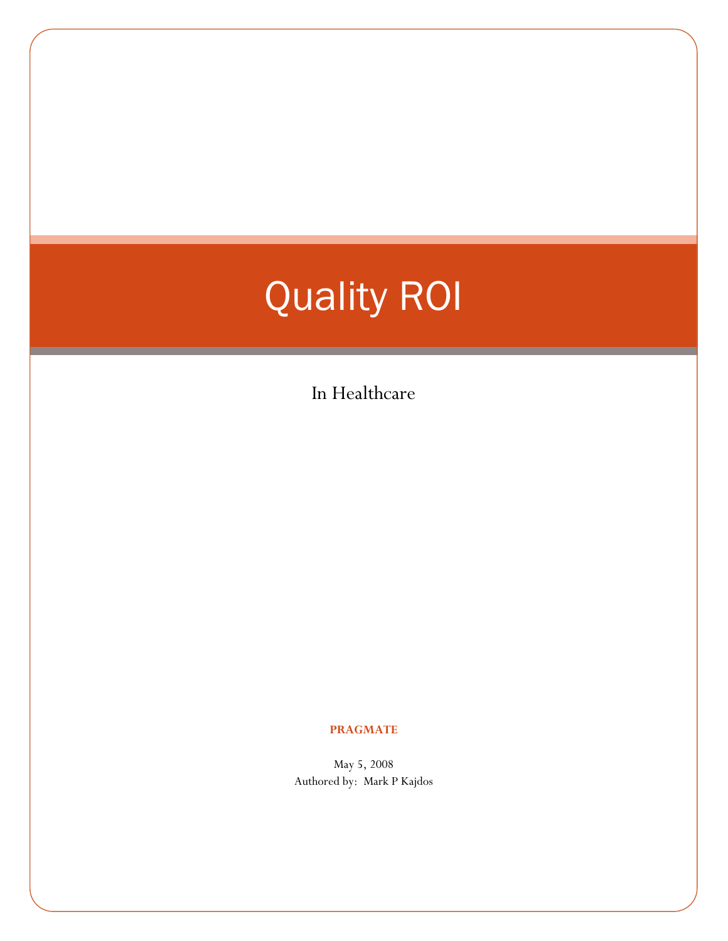# Quality ROI

In Healthcare

#### **PRAGMATE**

May 5, 2008 Authored by: Mark P Kajdos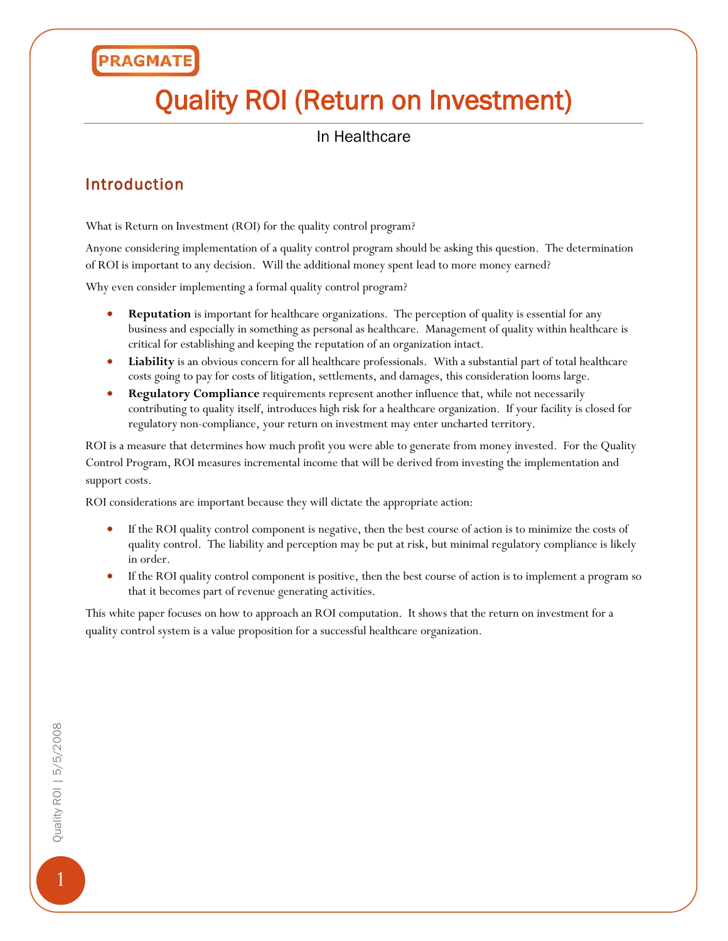# Quality ROI (Return on Investment)

#### In Healthcare

#### Introduction

What is Return on Investment (ROI) for the quality control program?

Anyone considering implementation of a quality control program should be asking this question. The determination of ROI is important to any decision. Will the additional money spent lead to more money earned?

Why even consider implementing a formal quality control program?

- **Reputation** is important for healthcare organizations. The perception of quality is essential for any business and especially in something as personal as healthcare. Management of quality within healthcare is critical for establishing and keeping the reputation of an organization intact.
- **Liability** is an obvious concern for all healthcare professionals. With a substantial part of total healthcare costs going to pay for costs of litigation, settlements, and damages, this consideration looms large.
- **Regulatory Compliance** requirements represent another influence that, while not necessarily contributing to quality itself, introduces high risk for a healthcare organization. If your facility is closed for regulatory non-compliance, your return on investment may enter uncharted territory.

ROI is a measure that determines how much profit you were able to generate from money invested. For the Quality Control Program, ROI measures incremental income that will be derived from investing the implementation and support costs.

ROI considerations are important because they will dictate the appropriate action:

- If the ROI quality control component is negative, then the best course of action is to minimize the costs of quality control. The liability and perception may be put at risk, but minimal regulatory compliance is likely in order.
- If the ROI quality control component is positive, then the best course of action is to implement a program so that it becomes part of revenue generating activities.

This white paper focuses on how to approach an ROI computation. It shows that the return on investment for a quality control system is a value proposition for a successful healthcare organization.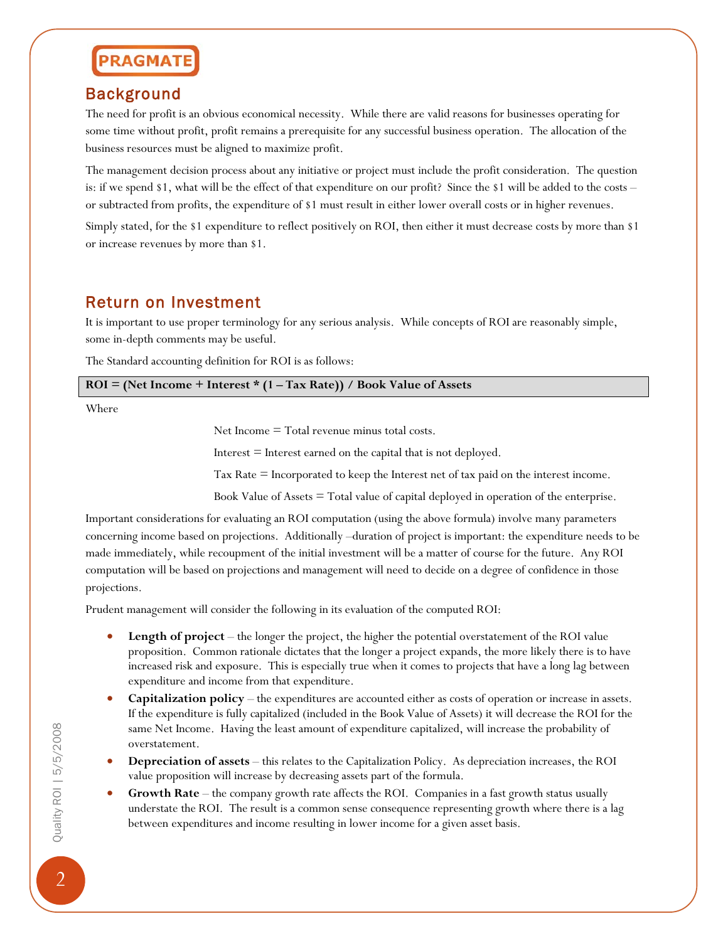#### Background

The need for profit is an obvious economical necessity. While there are valid reasons for businesses operating for some time without profit, profit remains a prerequisite for any successful business operation. The allocation of the business resources must be aligned to maximize profit.

The management decision process about any initiative or project must include the profit consideration. The question is: if we spend \$1, what will be the effect of that expenditure on our profit? Since the \$1 will be added to the costs – or subtracted from profits, the expenditure of \$1 must result in either lower overall costs or in higher revenues.

Simply stated, for the \$1 expenditure to reflect positively on ROI, then either it must decrease costs by more than \$1 or increase revenues by more than \$1.

#### Return on Investment

It is important to use proper terminology for any serious analysis. While concepts of ROI are reasonably simple, some in-depth comments may be useful.

The Standard accounting definition for ROI is as follows:

| $ROI = (Net Income + Interest * (1 - Tax Rate)) / Book Value of Assets$ |
|-------------------------------------------------------------------------|
|                                                                         |

Where

Net Income = Total revenue minus total costs.

Interest  $=$  Interest earned on the capital that is not deployed.

Tax Rate = Incorporated to keep the Interest net of tax paid on the interest income.

Book Value of Assets  $=$  Total value of capital deployed in operation of the enterprise.

Important considerations for evaluating an ROI computation (using the above formula) involve many parameters concerning income based on projections. Additionally –duration of project is important: the expenditure needs to be made immediately, while recoupment of the initial investment will be a matter of course for the future. Any ROI computation will be based on projections and management will need to decide on a degree of confidence in those projections.

Prudent management will consider the following in its evaluation of the computed ROI:

- **Length of project** the longer the project, the higher the potential overstatement of the ROI value proposition. Common rationale dictates that the longer a project expands, the more likely there is to have increased risk and exposure. This is especially true when it comes to projects that have a long lag between expenditure and income from that expenditure.
- **Capitalization policy** the expenditures are accounted either as costs of operation or increase in assets. If the expenditure is fully capitalized (included in the Book Value of Assets) it will decrease the ROI for the same Net Income. Having the least amount of expenditure capitalized, will increase the probability of overstatement.
- **Depreciation of assets** this relates to the Capitalization Policy. As depreciation increases, the ROI value proposition will increase by decreasing assets part of the formula.
- **Growth Rate** the company growth rate affects the ROI. Companies in a fast growth status usually understate the ROI. The result is a common sense consequence representing growth where there is a lag between expenditures and income resulting in lower income for a given asset basis.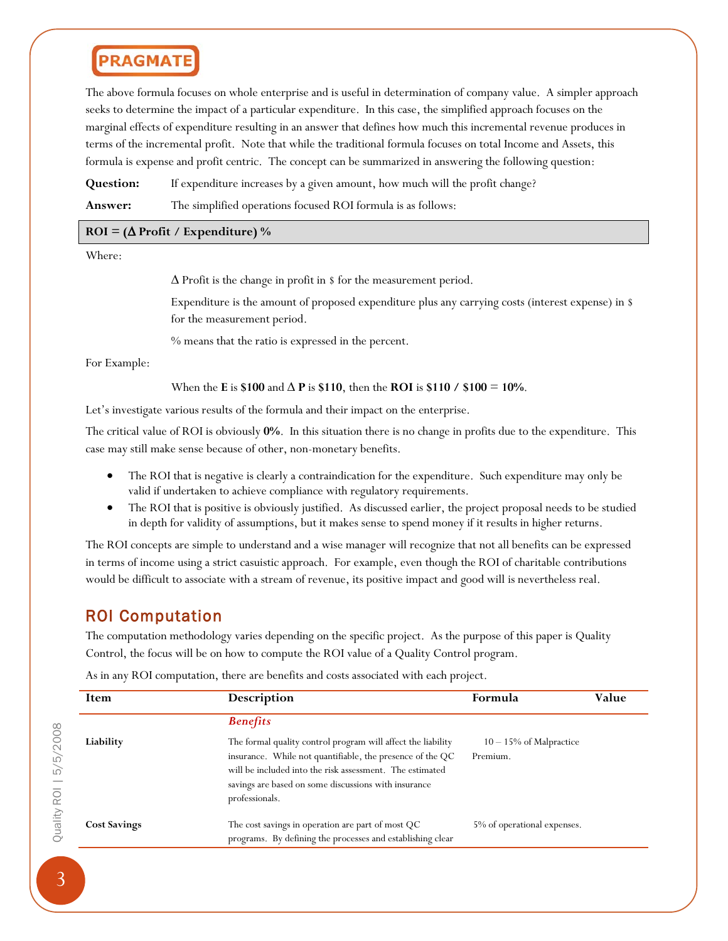The above formula focuses on whole enterprise and is useful in determination of company value. A simpler approach seeks to determine the impact of a particular expenditure. In this case, the simplified approach focuses on the marginal effects of expenditure resulting in an answer that defines how much this incremental revenue produces in terms of the incremental profit. Note that while the traditional formula focuses on total Income and Assets, this formula is expense and profit centric. The concept can be summarized in answering the following question:

**Question:** If expenditure increases by a given amount, how much will the profit change?

**Answer:** The simplified operations focused ROI formula is as follows:

#### **ROI = (**∆ **Profit / Expenditure) %**

Where:

∆ Profit is the change in profit in \$ for the measurement period.

Expenditure is the amount of proposed expenditure plus any carrying costs (interest expense) in \$ for the measurement period.

% means that the ratio is expressed in the percent.

For Example:

When the **E** is \$100 and  $\Delta$  **P** is \$110, then the **ROI** is \$110 / \$100 = 10%.

Let's investigate various results of the formula and their impact on the enterprise.

The critical value of ROI is obviously **0%**. In this situation there is no change in profits due to the expenditure. This case may still make sense because of other, non-monetary benefits.

- The ROI that is negative is clearly a contraindication for the expenditure. Such expenditure may only be valid if undertaken to achieve compliance with regulatory requirements.
- The ROI that is positive is obviously justified. As discussed earlier, the project proposal needs to be studied in depth for validity of assumptions, but it makes sense to spend money if it results in higher returns.

The ROI concepts are simple to understand and a wise manager will recognize that not all benefits can be expressed in terms of income using a strict casuistic approach. For example, even though the ROI of charitable contributions would be difficult to associate with a stream of revenue, its positive impact and good will is nevertheless real.

#### ROI Computation

The computation methodology varies depending on the specific project. As the purpose of this paper is Quality Control, the focus will be on how to compute the ROI value of a Quality Control program.

As in any ROI computation, there are benefits and costs associated with each project.

| Item                | Description                                                                                                                                                                                                                                                     | Formula                              | Value |
|---------------------|-----------------------------------------------------------------------------------------------------------------------------------------------------------------------------------------------------------------------------------------------------------------|--------------------------------------|-------|
|                     | <b>Benefits</b>                                                                                                                                                                                                                                                 |                                      |       |
| Liability           | The formal quality control program will affect the liability<br>insurance. While not quantifiable, the presence of the QC<br>will be included into the risk assessment. The estimated<br>savings are based on some discussions with insurance<br>professionals. | $10-15\%$ of Malpractice<br>Premium. |       |
| <b>Cost Savings</b> | The cost savings in operation are part of most QC<br>programs. By defining the processes and establishing clear                                                                                                                                                 | 5% of operational expenses.          |       |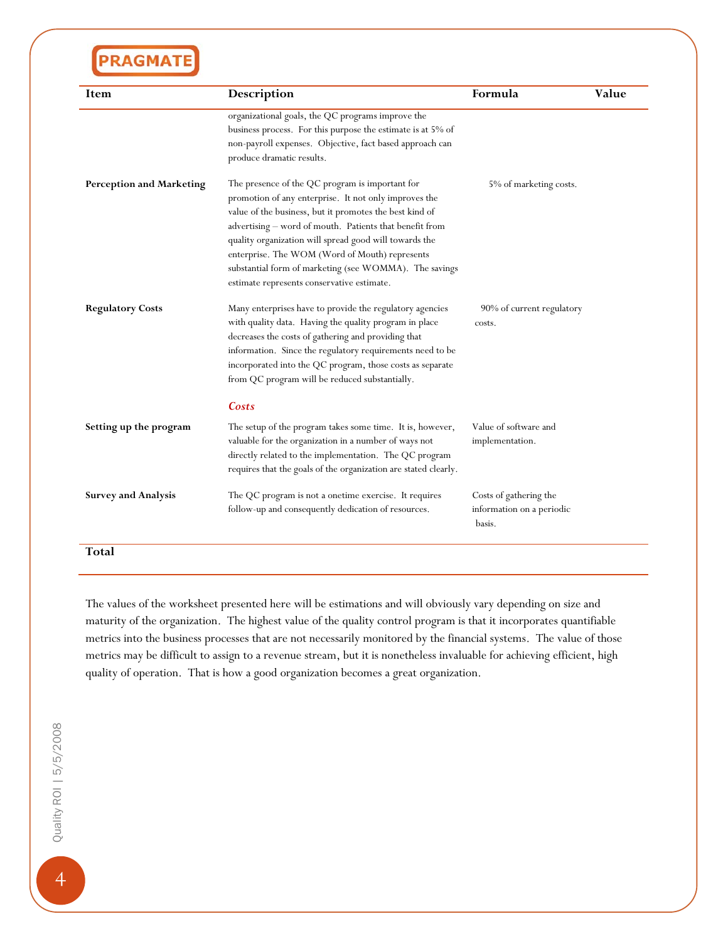| Item                            | Description                                                                                                                                                                                                                                                                                                                                                                                                                                        | Formula                                                       | Value |
|---------------------------------|----------------------------------------------------------------------------------------------------------------------------------------------------------------------------------------------------------------------------------------------------------------------------------------------------------------------------------------------------------------------------------------------------------------------------------------------------|---------------------------------------------------------------|-------|
|                                 | organizational goals, the QC programs improve the<br>business process. For this purpose the estimate is at 5% of<br>non-payroll expenses. Objective, fact based approach can<br>produce dramatic results.                                                                                                                                                                                                                                          |                                                               |       |
| <b>Perception and Marketing</b> | The presence of the QC program is important for<br>promotion of any enterprise. It not only improves the<br>value of the business, but it promotes the best kind of<br>advertising - word of mouth. Patients that benefit from<br>quality organization will spread good will towards the<br>enterprise. The WOM (Word of Mouth) represents<br>substantial form of marketing (see WOMMA). The savings<br>estimate represents conservative estimate. | 5% of marketing costs.                                        |       |
| <b>Regulatory Costs</b>         | Many enterprises have to provide the regulatory agencies<br>with quality data. Having the quality program in place<br>decreases the costs of gathering and providing that<br>information. Since the regulatory requirements need to be<br>incorporated into the QC program, those costs as separate<br>from QC program will be reduced substantially.                                                                                              | 90% of current regulatory<br>costs.                           |       |
|                                 | Costs                                                                                                                                                                                                                                                                                                                                                                                                                                              |                                                               |       |
| Setting up the program          | The setup of the program takes some time. It is, however,<br>valuable for the organization in a number of ways not<br>directly related to the implementation. The QC program<br>requires that the goals of the organization are stated clearly.                                                                                                                                                                                                    | Value of software and<br>implementation.                      |       |
| <b>Survey and Analysis</b>      | The QC program is not a onetime exercise. It requires<br>follow-up and consequently dedication of resources.                                                                                                                                                                                                                                                                                                                                       | Costs of gathering the<br>information on a periodic<br>basis. |       |

The values of the worksheet presented here will be estimations and will obviously vary depending on size and maturity of the organization. The highest value of the quality control program is that it incorporates quantifiable metrics into the business processes that are not necessarily monitored by the financial systems. The value of those metrics may be difficult to assign to a revenue stream, but it is nonetheless invaluable for achieving efficient, high quality of operation. That is how a good organization becomes a great organization.

 $\overline{4}$